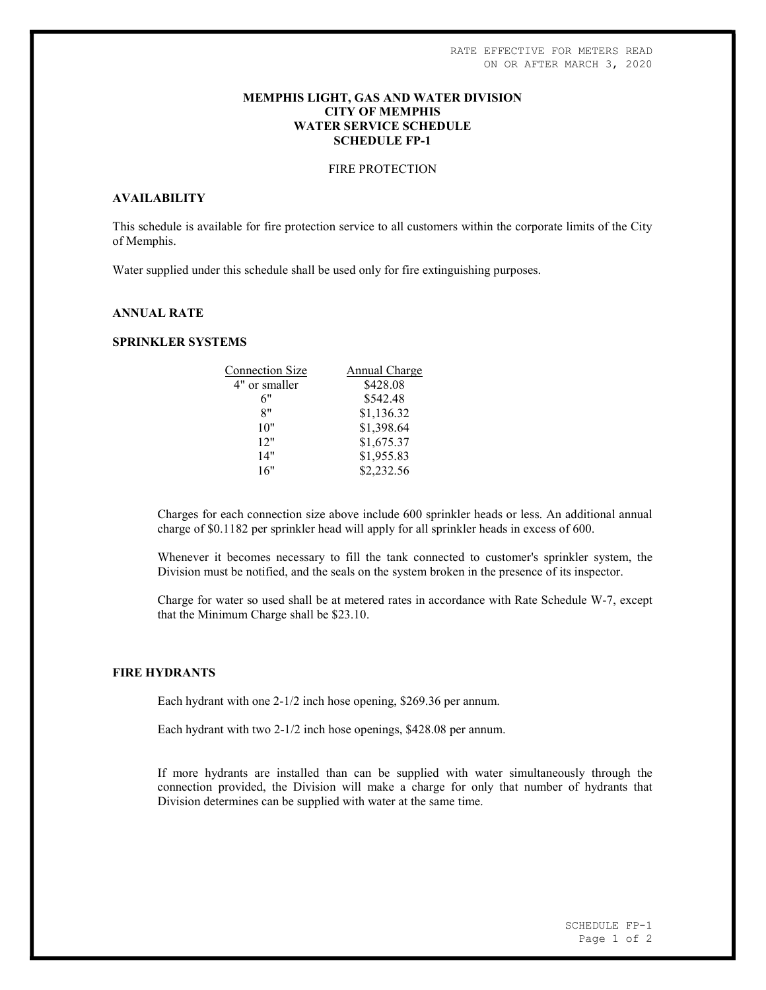### MEMPHIS LIGHT, GAS AND WATER DIVISION CITY OF MEMPHIS WATER SERVICE SCHEDULE SCHEDULE FP-1

# FIRE PROTECTION

# AVAILABILITY

This schedule is available for fire protection service to all customers within the corporate limits of the City of Memphis.

Water supplied under this schedule shall be used only for fire extinguishing purposes.

# ANNUAL RATE

# SPRINKLER SYSTEMS

| <b>Connection Size</b> | Annual Charge |
|------------------------|---------------|
| 4" or smaller          | \$428.08      |
| 6"                     | \$542.48      |
| 8"                     | \$1,136.32    |
| 10"                    | \$1,398.64    |
| 12"                    | \$1,675.37    |
| 14"                    | \$1,955.83    |
| 16"                    | \$2,232.56    |
|                        |               |

Charges for each connection size above include 600 sprinkler heads or less. An additional annual charge of \$0.1182 per sprinkler head will apply for all sprinkler heads in excess of 600.

Whenever it becomes necessary to fill the tank connected to customer's sprinkler system, the Division must be notified, and the seals on the system broken in the presence of its inspector.

Charge for water so used shall be at metered rates in accordance with Rate Schedule W-7, except that the Minimum Charge shall be \$23.10.

### FIRE HYDRANTS

Each hydrant with one 2-1/2 inch hose opening, \$269.36 per annum.

Each hydrant with two 2-1/2 inch hose openings, \$428.08 per annum.

If more hydrants are installed than can be supplied with water simultaneously through the connection provided, the Division will make a charge for only that number of hydrants that Division determines can be supplied with water at the same time.